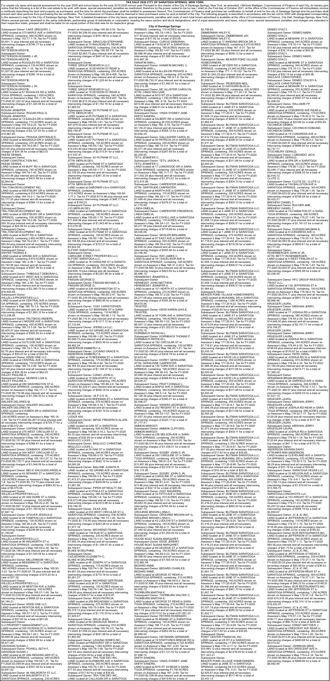For unpaid city taxes and special assessment for the year 2020 and school taxes for the year 2010 and school taxes for the year 2012 Throm School taxes of PRINNCA SPRINNCA SPRINNCA SPRINNCA SPRINNCA SPRINNCA SPRINNCA SPRIN

**City of Saratoga Springs**

Subsequent Owner: LAKE GREGORY J, LAND located at 373 MAPLE AVE in SARATOGA SPRINGS, containing .480 ACRES shown on Assessor's Map 153.17-1-15. Tax for FY-2020 \$4,401.11 plus interest and all necessary intervening charges of \$745.77 for a total of \$5,146.88.

PATTERSON KRISTIE, Subsequent Owner: PATTERSON HOWARD J JR,

PATTERSON KRISTIE, LAND located at RUGGLES RD in SARATOGA SPRINGS, containing 5.130 ACRES shown on Assessor's Map 154.-1-18. Tax for FY-2020 \$1,527.92 plus interest and all necessary intervening charges of \$280.19 for a total of

\$1,808.11. PATTERSON KRISTIE,

Subsequent Owner: PATTERSON HOWARD J JR, PATTERSON KRISTIE, LAND located at 61 RUGGLES RD in SARA-TOGA SPRINGS, containing 1.050 ACRES shown on Assessor's Map 154.-1-19. Tax for FY-2020 \$7,222.42 plus interest and all necessary intervening charges of \$1,220.84 for a total of \$8,443.26. ROGAN JENNIFER,

Subsequent Owner: KRDD ONE LLC, LAND located at OUTLOOK AVE in SARATOGA SPRINGS, containing .130 ACRES shown on<br>Assessor's Map 165.14-1-18.2. Tax for FY-2020<br>\$2.76 plus interest and all necessary intervening<br>charges of \$30.23 for a total of \$32.99.<br>Subsequent Owner: KRDD ONE LLC,<br>LAND located SPRINGS, containing .110 ACRES shown on<br>Assessor's Map 165.14-3-99. Tax for FY-2020<br>\$27.65 plus interest and all necessary intervening<br>charges of \$34.38 for a total of \$62.03.<br>WILLEY PAULINE A,<br>WILLEY PAULINE A,<br>LAND locat

SARATOGA SPRINGS, containing .680 ACRES<br>shown on Assessor's Map 165.17-1-7. Tax for<br>FY-2020 \$6,116.96 plus interest and all necessary<br>intervening charges of \$1,036.43 for a total of

Subsequent Owner: ROGAN PAUL D, ROGAN JENNIFER, LAND located at 13 AZALEA DR in SARATOGA SPRINGS, containing .710 ACRES shown on Assessor's Map 154.18-2-25. Tax for FY-2020 \$12,840.02 plus interest and all necessary intervening charges of \$2,127.83 for a total of \$14,967.85.

Subsequent Owner: PRAVDA GERTRAUD E, LAND located at MAGNOLIA DR in SARATOGA SPRINGS, containing .470 ACRES shown on Assessor's Map 154.18-2-99.1. Tax for FY-2020 \$27.65 plus interest and all necessary intervening charges of \$34.38 for a total of \$62.03. PAESE DENNIS,

Subsequent Owner: KOMP CONSTRUCTION INC,

PAESE DENNIS,

LAND located at 49 BUFF RD in SARATOGA SPRINGS, containing .740 ACRES shown on Assessor's Map 164.16-1-42. Tax for FY-2020 \$2,433.48 plus interest and all necessary intervening charges of \$431.48 for a total of \$2,864.96.

Subsequent Owner: TRA-TOM DEVELOPMENT INC,

LAND located at WESTBURY DR in SARATOGA SPRINGS, containing 6.910 ACRES shown on Assessor's Map 164.16-2-1. Tax for FY-2020 \$3,177.05 plus interest and all necessary intervening charges of \$565.13 for a total of \$3,742.18.

Subsequent Owner: TRA-TOM DEVELOPMENT INC, LAND located at WESTBURY DR in SARATOGA SPRINGS, containing .030 ACRES shown on Assessor's Map 164.16-2-98. Tax for FY-2020 \$55.30 plus interest and all necessary intervening charges of \$24.56 for a total of \$79.86.

Subsequent Owner: TRA-TOM DEVELOPMENT INC, LAND located at BUFF RD in SARATOGA SPRINGS, containing 2.600 ACRES shown on Assessor's Map 164.16-2-99.1. Tax for FY-2020 \$83.84 plus interest and all necessary intervening charges of \$29.24 for a total of \$113.08. Subsequent Owner:

DWYER THOMAS E,<br>LAND located at GRAND AVE in SARATOGA<br>SPRINGS, containing 9.670 ACRES shown on<br>Assessor's Map 165.-2-36.1. Tax for FY-2020<br>\$3,193.96 plus interest and all necessary<br>intervening charges of \$557.46 for a tota

Subsequent Owner: THIBEAULT DEBORAH L, LAND located at 67 WEST AVE in SARATOGA SPRINGS, containing 1.270 ACRES shown on Assessor's Map 165.-2-85. Tax for FY-2020 \$14,455.14 plus interest and all necessary intervening charges of \$2,390.75 for a total of

\$16,845.89.<br>Subsequent Owner:

Subsequent Owner:<br>WILLELLA PROPERTIES LLC,<br>LAND located at 64 CENTRAL AVE in SARATO-<br>GA SPRINGS, containing .370 ACRES shown<br>on Assessor's Map 165.10-1-8. Tax for FY-2020<br>\$11,355.85 plus interest and all necessary<br>interven

\$13,238.95. Subsequent Owner: FALTSKOG ANDERS, LAND located at 2 MOORE AVE in SARATOGA SPRINGS, containing .420 ACRES shown on Assessor's Map 165.13-1-28. Tax for FY-2020 \$5,425.57 plus interest and all necessary intervening charges of \$925.82 for a total of \$6,351.39.

\$55,749.87 equent Owner: 63 PUTNAM ST LLC ATTN: MERLIN DEV, LAND located at 67 PUTNAM ST in SARATOGA SPRINGS, containing .100 ACRES shown on Assessor's Map 165.60-1-62. Tax for FY-2020

Subsequent Owner: 63 PUTNAM ST LLC,<br>C/O MERLIN DEV. C/O MERLIN DEV, LAND located at GARDNER ALY in SARATOGA SPRINGS, containing .190 ACRES shown on Assessor's Map 165.60-1-79. Tax for FY-2020 \$11,634.86 plus interest and all necessary intervening charges of \$1,943.49 for a total of \$13,578.35.

Subsequent Owner: 63 PUTNAM ST LLC,<br>LAND located at 59 PUTNAM ST in SARATOGA<br>SPRINGS, containing .150 ACRES shown on<br>Assessor's Map 165.60-1-80. Tax for FY-2020<br>\$4,198.88 plus interest and all necessary intervening charges of \$723.21 for a total of \$4,922.09. ELFONT SARATOGA LLC,

Subsequent Owner: CAROLINE STREET PROPERTIES LLC, ELFONT SARATOGA LLC,<br>LAND located at 16 CAROLINE ST in SARATO-<br>GA SPRINGS, containing .250 ACRES shown<br>on Assessor's Map 165.60-1-84. Tax for FY-2020<br>\$24,658.19 plus interest and all necessary<br>intervening charges of \$4,291

FINIGAN GEORGE D,<br>Subsequent Owner: FINIGAN MICHAEL S,<br>FINIGAN GEORGE D,<br>LAND located at 200 WASHINGTON ST in<br>LAND located at 200 WASHINGTON ST in<br>SARATOGA SPRINGS, containing .250 ACRES<br>shown on Assessor's Map 165.65-2-47

\$7,153.39. WALKER DELORES M, Subsequent Owner: WALKER WILLIAM H, WALKER DELORES M, LAND located at 6 KAREN DR in SARATOGA \$6,482.24.<br>ANDERSON KIMBERLY A. ANDERSON KIMBERLY A,<br>Subsequent Owner: LUCIANO GRACE H,<br>ANDERSON KIMBERLY A,<br>LAND located at 78 BEEKMAN ST in SARATOGA<br>SPRINGS, containing .170 ACRES shown on<br>Assessor's Map 165.66-2-62. Tax for FY-2020<br>\$6,764.40 plus inte intervening charges of \$1,148.37 for a total of \$7,912.77.

Subsequent Owner: CIANCI JOHN A,<br>LAND located at 15 WALWORTH ST in<br>SARATOGA SPRINGS, containing .040 ACRES<br>shown on Assessor's Map 165.66-2-8. Tax for<br>FY-2020 \$3,229.41 plus interest and all necessary<br>intervening charges o

SPRINGS, containing .110 ACRES shown on Assessor's Map 165.79-1-99.2. Tax for FY-2020 \$17.83 plus interest and all necessary intervening charges of \$17.82 for a total of \$35.65. Subsequent Owner: CURCIO DEBORAH, LAND located at 118 ELM ST in SARATOGA SPRINGS, containing .180 ACRES shown on Assessor's Map 165.82-1-47. Tax for FY-2020 \$8,986.44 plus interest and all necessary intervening charges of \$1,500.94 for a total of \$10,487.38.<br>HANAFIN ANN L.

HANAFIN ANN L,<br>Subsequent Owner: HANAFIN MICHAEL C,<br>HANAFIN ANN L,<br>LAND located at 44 ALLEN DR PRIVATE in<br>SARATOGA SPRINGS, containing .670 ACRES<br>SARATOGA SPRINGS, containing .670 ACRES<br>shown on Assessor's Map 165.9-1-8. T

Subsequent Owner: VINAS SYDNEY JANE,<br>Subsequent Owner: VINAS SYDNEY JANE,<br>SMITH SANDRA,

Subsequent Owner: 84 WALWORTH ST LLC, LAND located at 84 WALWORTH ST in SARATOGA SPRINGS, containing .230 ACRES

LAND located at 11 LONGWOOD DR in SARA-TOGA SPRINGS, containing .500 ACRES shown on Assessor's Map 166.11-1-77. Tax for FY-2020 \$11,502.29 plus interest and all necessary intervening charges of \$1,913.61 for a total of \$13,415.90

shown on Assessor's Map 165.58-2-35. Tax for FY-2020 \$4,308.00 plus interest and all necessary intervening charges of \$761.88 for a total of \$5,069.88.

Subsequent Owner: SIRACUSA STEPHANIE, LAND located at 70 RAILROAD PL REAR in SARATOGA SPRINGS, containing .030 ACRES shown on Assessor's Map 165.59-7-6. Tax for FY-2020 \$2,463.75 plus interest and all necessary intervening charges of \$441.47 for a total of \$2,905.22 Subsequent Owner:

> Subsequent Owner: SEISLER BENJAMIN, LAND located at 97 EAST AVE in SARATOGA<br>SPRINGS, containing .030 ACRES shown on<br>Assessor's Map 166.29-4-302. Tax for FY-2020<br>\$2,330.42 plus interest and all necessary<br>intervening charges of \$505.94 for a total of<br>\$3,336.36

THREE GROUP RESEARCH LLC, LAND located at 18 DIVISION ST-REAR in SARATOGA SPRINGS, containing .050 ACRES shown on Assessor's Map 165.59-8-405. Tax for FY-2020 \$7,232.67 plus interest and all necessary intervening charges of \$1,220.44 for a total of \$8,453.11.

Subsequent Owner: THREE GROUP RESEARCH LLC, LAND located at 18 DIVISION ST-REAR in SARATOGA SPRINGS, containing .040 ACRES shown on Assessor's Map 165.59-8-407. Tax for FY-2020 \$6,813.39 plus interest and all necessary intervening charges of \$1,152.16 for a total of \$7,965.55. Subsequent Owner: 63 PUTNAM ST LLC,

ATTN: MERLIN DEV, LAND located at 65 PUTNAM ST in SARATOGA SPRINGS, containing .200 ACRES shown on Assessor's Map 165.60-1-61. Tax for FY-2020 \$47,878.02 plus interest and all necessary intervening charges of \$7,871.85 for a total of

\$15,043.90 plus interest and all necessary intervening charges of \$2,513.91 for a total of \$17,557.81.

Subsequent Owner: 63 PUTNAM ST LLC, ATTN: MERLIN DEV, LAND located at PUTNAM ST in SARATOGA SPRINGS, containing .100 ACRES shown on Assessor's Map 165.60-1-77.1. Tax for FY-2020 \$2,128.55 plus interest and all necessary intervening charges of \$381.33 for a total of \$2,509.88.

Subsequent Owner: 63 PUTNAM ST LLC, ATTN: MERLIN DEV, LAND located at GARDNER LN in SARATOGA

SPRINGS, containing .010 ACRES shown on Assessor's Map 165.60- 1-77.3. Tax for FY-2020 \$110.86 plus interest and all necessary intervening charges of \$48.17 for a total of \$159.03.

SPRINGS, containing .230 ACRES shown on Assessor's Map 165.18- 1-54. Tax for FY-2020 \$4,287.43 plus interest and all necessary intervening charges of \$724.77 for a an necessary inter-Subsequent Owner: CAPONE MAUREEN J, LAND located at 275 WEST CIRCULAR ST in SARATOGA SPRINGS, containing .240 ACRES shown on Assessor's Map 165.18-3-16. Tax for FY-2020 \$2,157.90 plus interest and all necessary intervening charges of \$368.81 for a total of \$2,526.71. Subsequent Owner: DOMINICK JONATHAN, LAND located at 304 WEST CIRCULAR ST in SARATOGA SPRINGS, containing .370 ACRES<br>shown on Assessor's Map 165.18-3-27.12. Tax for<br>FY-2020 \$6,178.71 plus interest and all necessary<br>intervening charges of \$1,044.06 for a total of<br>\$7,222.77. Subsequent Owner: BELIC KALOUDIS ANGELA,<br>LAND located at 42 SEWARD ST in SARATOGA<br>SPRINGS, containing<br>.220 ACRES shown on Assessor's Map 165.34-<br>1-8. Tax for FY-2020 \$5,112.73 plus interest and<br>all necessary intervening ch total of \$5,975.56. Subsequent Owner: WILLELLA PROPERTIES LLC, LAND located at 26 VAN DORN ST in SARA-TOGA SPRINGS, containing .100 ACRES shown on Assessor's Map 165.42-2-20. Tax for FY-2020 \$6,567.10 plus interest and all necessary intervening charges of \$1,100.02 for a total of \$7,667.12. Subsequent Owner: STOVER JESSICA E, LAND located at 26 TOMPION LN in SARATOGA SPRINGS, containing .130 ACRES shown on Assessor's Map 165.46-2-26. Tax for FY-2020 \$1,523.97 plus interest and all necessary intervening charges of \$236.68 for a total of \$1,760.65. Subsequent Owner: WILLELLA PROPERTIES LLC, LAND located at 96 WALWORTH ST in SARATOGA SPRINGS, containing .100 ACRES shown on Assessor's Map 165.50-2-39. Tax for FY-2020 \$6,198.54 plus interest and all necessary intervening charges of \$1,034.58 for a total of \$7,233.12. Subsequent Owner: MILLENNIUM 188 LLC, LAND located at BEEKMAN ST in SARATOGA SPRINGS, containing .060 ACRES shown on Assessor's Map 165.50- 3-23. Tax for FY-2020 \$1.78 plus interest and all necessary intervening charges of \$15.24 for a total of \$17.02. Subsequent Owner: WILLELLA PROPERTIES LLC, LAND located at 26 NEWTON AVE in SARA-TOGA SPRINGS, containing .140 ACRES shown on Assessor's Map 165.57-1-49. Tax for FY-2020 \$3,539.99 plus interest and all necessary intervening charges of \$608.22 for a total of \$4,148.21. SULT:<br>sequent Owner: KRDD ONE LLC LAND located at NEWTON AVE in SARATOGA SPRINGS, containing .130 ACRES shown on Assessor's Map 165.57-1-57.2. Tax for FY-2020 \$53.24 plus interest and all necessary intervening charges of \$37.80 for a total of \$91.04. Subsequent Owner: D-2 PROPERTY MANAGEMENT LLC, LAND located at 205 DIVISION ST in SARATOGA SPRINGS, containing .120 ACRES shown on Assessor's Map 165.58-1-29.1. Tax for FY-2020 \$4,848.95 plus interest and all necessary intervening charges of \$822.99 for a total of \$5,671.94. DAVIDSON SUSAN J, Subsequent Owner: POWELL SETH F, DAVIDSON SUSAN J, LAND located at 26 VAN RENSSELAER ST in SARATOGA SPRINGS, containing .060 ACRES shown on Assessor's Map 165.58-1-31. Tax for FY-2020 \$3,099.94 plus interest and all necessary intervening charges of \$551.08 for a total of \$3,651.02. \$5,082.16. LODGE 609, Subsequent Owner: IBPOE FREDERICK ALLEN, LODGE 609, LAND located at OAK ST in SARATOGA SPRINGS, containing .020 ACRES shown on Assessor's Map 165.66-3-18.2. Tax for FY-2020 \$5.53 plus interest and all necessary intervening charges of \$30.99 for a total of \$36.52.<br>MIGLUCCI LOUIS J,<br>Subsequent Owner: MIGLUCCI CHRISTINE,<br>MIGLUCCI LOUIS J,<br>LAND located at 35 OAK ST in SARATOGA SPRINGS, containing .040 ACRES shown on Assessor's Map 165.66-3-19. Tax for FY-2020 \$3,548.14 plus interest and all necessary intervening charges of \$542.12 for a total of \$4,090.26. Subsequent Owner: MALONE JUANITA R, LAND located at 182 GRAND AVE in SARATOGA SPRINGS, containing .170 ACRES shown on Assessor's Map 165.66-3-5. Tax for FY-2020 \$1,472.57 plus interest and all necessary intervening charges of \$208.99 for a total of \$1,681.56. Subsequent Owner: PIPER DP REALTY INC, LAND located at 43 PHILA ST in SARATOGA SPRINGS, containing .080 ACRES shown on Assessor's Map 165.68-1-8. Tax for FY-2020 \$16,073.68 plus interest and all necessary intervening charges of \$2,672.86 for a total of \$18,746.54. Subsequent Owner: ZILKA JON,<br>LAND located at 253 WEST CIRCULAR ST in<br>SARATOGA SPRINGS, containing .830 ACRES<br>shown on Assessor's Map 165.73-1-40. Tax for<br>FY-2020 \$1,733.90 plus interest and all necessary intervening charges of \$243.28 for a total of \$1,977.18.<br>Subsequent Owner: MICHIENZI ERANK Subsequent Owner: MICHIENZI FRANK, LAND located at 139 ELM ST in SARATOGA SPRINGS, containing .230 ACRES shown on Assessor's Map 165.74-1-21. Tax for FY-2020 \$7,000.34 plus interest and all necessary intervening charges of \$1,156.47 for a total of \$8,156.81. BLAKE M DELPHINE, Subsequent Owner: CAZJKOWSKI ELIZABETH C, BLAKE M DELPHINE, LAND located at 48 JOSEPH ST in SARATOGA SPRINGS, containing .170 ACRES shown on Assessor's Map 165.74-1-36. Tax for FY-2020 \$4,491.09 plus interest and all necessary intervening charges of \$770.18 for a total of \$5,261.27. Subsequent Owner: MICHIENZI GERTRUDE,<br>LAND located at ELM ST in SARATOGA<br>SPRINGS, containing .120 ACRES shown on<br>Assessor's Map 165.74-1-48. Tax for FY-2020<br>\$38.80 plus interest and all necessary intervening charges of \$36.07 for a total of \$74.87. Subsequent Owner: RIGGI PATRICIA,<br>LAND located at 268 BROADWAY in SARATOGA<br>SPRINGS, containing .070 ACRES shown on<br>Assessor's Map 165.75-3-604. Tax for FY-2020<br>\$6,319.12 plus interest and all necessary intervening charges of \$1,110.35 for a total of \$7,429.47. Subsequent Owner: DELIA JEAN, LAND located at 56 UNION AVE REAR in SARATOGA SPRINGS, containing .010 ACRES shown on Assessor's Map 165.76-3-5. Tax for FY-2020 \$1,559.22 plus interest and all neces intervening charges of \$241.68 for a total of \$1,800.90. Subsequent Owner: LAGUNA HOMES INC, LAND located at PINEHURST DR in SARATOGA SPRINGS, containing 1.340 ACRES shown on Assessor's Map 165.78-1-99. Tax for FY-2020 \$27.65 plus interest and all necessary intervening<br>charges of \$34.38 for a total of \$62.03.<br>Subsequent Owner: TRA-TOM DEV INC,<br>LAND located at GLENMORE AVE in SARATOGA<br>SPRINGS, containing .350 ACRES shown on<br>Assessor's Map \$17.83 plus interest and all necessary intervening<br>\$17.83 plus interest and all necessary intervening<br>charges of \$17.82 for a total of \$35.65. charges of \$17.82 for a total of \$35.65. Subsequent Owner: TRA-TOM DEV INC, LAND located at CALLAGAN DR in SARATOGA

LAND located at GEORGE ST REAR in SARA-TOGA SPRINGS, containing .010 ACRES shown<br>on Assessor's Map 166.69-5-26. Tax for FY-2020<br>\$917.72 plus interest and all necessary interven-<br>\$917.72 plus interest and all necessary inte SPRINGS, containing .140 ACRES shown on Assessor's Map 166.77-2-25. Tax for FY-2020 \$5,037.07 plus interest and all necessary intervening charges of \$852.48 for a total of \$5,889.55.

Subsequent Owner: YOST CHRISTOPHER, LAND located at 127 BEEKMAN ST in SARA-TOGA SPRINGS, containing .110 ACRES shown on Assessor's Map 165.66-1-12. Tax for FY-2020 \$6,115.51 plus interest and all necessary intervening charges of \$1,017.13 for a total of \$7,132.64.

Subsequent Owner: BLITMAN SARATOGA LLC,<br>LAND located at 3 JANE ST in SARATOGA<br>SPRINGS, containing .330 ACRES shown on<br>Assessor's Map 177.20-8-1. Tax for FY-2020<br>\$1,658.12 plus interest and all necessary intervening charges of \$306.51 for a total of \$1,964.63.

Subsequent Owner: JPERELLA LLC, LAND located at 163 GRAND AVE in SARATOGA SPRINGS, containing .110 ACRES shown on Assessor's Map 165.66-1-25. Tax for FY-2020 \$5,546.75 plus interest and all necessary intervening charges of \$935.49 for a total of

Subsequent Owner: BLITMAN SARATOGA LLC, LAND located at 13 JANE ST in SARATOGA SPRINGS, containing .320 ACRES shown on Assessor's Map 177.20-8-17. Tax for FY-2020 \$1,643.01 plus interest and all necessary intervening charges of \$304.10 for a total of \$1,947.11

Subsequent Owner: I B P O E W, LAND located at 69 BEEKMAN ST in SARATOGA SPRINGS, containing .070 ACRES shown on Assessor's Map 165.66-3-18.1. Tax for FY-2020 \$4,337.42 plus interest and all necessary intervening charges of \$744.74 for a total of

intervening charges of \$316.55 for a total of<br>\$2,035.16.<br>Subsequent Owner: BLITMAN SARATOGA LLC,<br>LAND located at 7 JANE ST in SARATOGA SPRINGS, containing .330 ACRES shown on Assessor's Map 177.20-8-20. Tax for FY-2020 \$1,658.12 plus interest and all necessary intervening charges of \$306.51 for a total of \$1,964.63.

Subsequent Owner: BLITMAN SARATOGA LLC,<br>LAND located at 4 KATIE LN in SARATOGA<br>SPRINGS, containing .350 ACRES shown on<br>Assessor's Map 177.20-8-5. Tax for FY-2020<br>\$1,688.38 plus interest and all necessary intervening charges of \$311.88 for a total of \$2,000.26.

Subsequent Owner: BLITMAN SARATOGA LLC, LAND located at 8 KATIE LN in SARATOGA SPRINGS, containing .350 ACRES shown on Assessor's Map 177.20-8-7. Tax for FY-2020 \$1,688.38 plus interest and all necessary ervening charges of \$311.88 for a total of

Subsequent Owner: BLITMAN SARATOGA LLC,<br>LAND located at JANE ST in SARATOGA<br>SPRINGS, containing 2.350 ACRES shown on<br>Assessor's Map 177.20-8-97. Tax for FY-2020<br>\$17.83 plus interest and all necessary intervening charges of \$17.82 for a total of \$35.65. Subsequent Owner: BLITMAN SARATOGA LLC, LAND located at MUKAMAL DR in SARATOGA SPRINGS, containing 1.000 ACRES shown on Assessor's Map 177.20-8-98. Tax for FY-2020 \$8.92 plus interest and all necessary intervening charges of \$16.38 for a total of \$25.30. Subsequent Owner: BLITMAN SARATOGA LLC, LAND located at MUKAMAL DR in SARATOGA SPRINGS, containing .500 ACRES shown on Assessor's Map 177.20-8-99. Tax for FY-2020 \$4.46 plus interest and all necessary intervening charges of \$15.69 for a total of \$20.15. Subsequent Owner: BLITMAN SARATOGA LLC,<br>LAND located at 47 JANE ST in SARATOGA<br>SPRINGS, containing .190 ACRES shown on<br>Assessor's Map 177.20-9-19. Tax for FY-2020<br>\$1,416.23 plus interest and all necessary intervening charges of \$265.52 for a total of \$1,681.75.

-.<br>ent Owner: BLITMAN SARATOGA LLC. LAND located at 49 JANE ST in SARATOGA SPRINGS, containing .190 ACRES shown on Assessor's Map 177.20-9-20. Tax for FY-2020 \$1,416.23 plus interest and all necessary intervening charges of \$265.52 for a total of \$1,681.75.

Subsequent Owner: BLITMAN SARATOGA LLC, LAND located at 57 JANE ST in SARATOGA SPRINGS, containing .190 ACRES shown on Assessor's Map 177.20-9-24. Tax for FY-2020 \$1,416.23 plus interest and all necessary intervening charges of \$265.52 for a total of \$1,681.75.

Subsequent Owner: BLITMAN SARATOGA LLC,<br>LAND located at GEYSER RD in SARATOGA<br>SPRINGS, containing 5.140 ACRES shown on<br>Assessor's Map 177.20-9-99. Tax for FY-2020<br>\$17.83 plus interest and all necessary intervening charges of \$17.82 for a total of \$35.65.

Subsequent Owner BEAVER POND VILLAGE HOMEOWNERS, LAND located at JANE ST in SARATOGA SPRINGS, containing 94.510 ACRES shown on Assessor's Map 178.-3-21. Tax for FY-2020 \$2,925.67 plus interest and all necessary intervening charges of \$517.46 for a total of \$3,443.13.

intervening charges of \$368.55 for a total of \$2,416.72. CLUTE IJ, Subsequent Owner: CLUTE DC, CLUTE IJ,

Subsequent Owner: MEEHAN JERRY, KRUEGER LAURA, LAND located at 17 JOSHUA RD in SARATOGA SPRINGS, containing .380 ACRES shown on Assessor's Map 178.44-2-29. Tax for FY-2020 \$14,646.50 plus interest and all necessary intervening charges of \$2,101.71 for a total of

\$16,748.21.<br>KRUEGER LAURA,<br>Subsequent Owner: MEEHAN JERRY,<br>KRUEGLER LAURA,<br>LAND located at JOSHUA RD in SARATOGA

LAND located at GILBERT RD in SARATOGA SPRINGS, containing 20.030 ACRES shown on Assessor's Map 166.-3-18. Tax for FY-2020 \$3,134.23 plus interest and all necessary intervening charges of \$558.12 for a total of \$3,692.35.

Subsequent Owner: GALLAGHER CAROL M, LAND located at 30 PATRICIA LN in SARATOGA SPRINGS, containing .230 ACRES shown on Assessor's Map 166.10-3-4. Tax for FY-2020 \$2,071.46 plus interest and all necessary intervening charges of \$287.49 for a total of \$2,358.95.

TETU JENNIFER C, Subsequent Owner: TETU JASON H, TETU JENNIFER C,

LAND located at CLEVELAND AVE in SARATO-GA SPRINGS, containing .070 ACRES shown on Assessor's Map 178.52-3-12. Tax for FY-2020 \$8.29 plus interest and all necessary intervening charges of \$31.19 for a total of \$39.48. Subsequent Owner: SARATOGA VEGAS LLC. LAND located at 33 NELSON AVE in SARATOGA SPRINGS, containing .710 ACRES shown on Assessor's Map 179.-5-6.1. Tax for FY-2020 \$11,792.13 plus interest and all necessary intervening charges of \$1,974.60 for a total of \$13,766.73

Subsequent Owner: CARPENTER ANNA L, ATTN: GERTRUDE CARPENTER, LAND located at NORTH AVE in SARATOGA SPRINGS, containing .110 ACRES shown on Assessor's Map 166.29-1-17. Tax for FY-2020 \$1,499.42 plus interest and all necessary intervening charges of \$276.57 for a total of \$1,775.99.

> Subsequent Owner: JC & JC INC, LAND located at JEFFERSON ST in SARATOGA SPRINGS, containing .110 ACRES shown on Assessor's Map 179.37-1-10. Tax for FY-2020 \$116.40 plus interest and all necessary interven-<br>ing charges of \$49.12 for a total of \$165.52.<br>Subsequent Owner: BCR RESTAURANTS INC,<br>LAND located at JEFFERSON ST in SARATOGA<br>SPRINGS, containing .340 ACRES shown on<br>Assess \$80.55 plus interest and all necessary intervening<br>charges of \$41.73 for a total of \$122.28.<br>Subsequent Owner: JC & JC INC,<br>LAND located at JEFFERSON ST-REAR in<br>SARATOGA SPRINGS, containing .030 ACRES<br>shown on Assessor's M FY-2020 \$5.53 plus interest and all necessary in-<br>tervening charges of \$30.99 for a total of \$36.52.<br>Subsequent Owner: JC & JC INC,<br>LAND located at JEFFERSON-REAR ST in<br>SARATOGA SPRINGS, containing .400 ACRES<br>shown on Asse

LINDA OMELIA,

Subsequent Owner: CARPENTER FREDERICK, LINDA OMELIA, LAND located at 45 COVELL AVE in SARATOGA SPRINGS, containing .110 ACRES shown on Assessor's Map 166.29-1-21. Tax for FY-2020 \$4,211.38 plus interest and all necessary intervening charges of \$718.68 for a total of \$4,930.06.

Subsequent Owner: RAY JAMES C, LAND located at 161 EXCELSIOR AVE in SARATOGA SPRINGS, containing .320 ACRES shown on Assessor's Map 166.31-2-20.2. Tax for FY-2020 \$4,862.33 plus interest and all necessary intervening charges of \$823.82 for a total of \$5,686.15.

> \$10,202.01.<br>Subsequent Owner: JC & JC INC,<br>LAND located at JEFFERSON ST in SARATOGA SPRINGS, containing .510 ACRES shown on Assessor's Map 179.37-1-9. Tax for FY-2020 \$183.71 plus interest and all necessary interven-ing charges of \$56.75 for a total of \$240.46. Subsequent Owner: ERNST MATTHEW J, LAND located at CRESCENT AVE REAR in SARATOGA SPRINGS, containing .360 ACRES shown on Assessor's Map 179.4-1-26. Tax for FY-2020 \$2,613.24 plus interest and all necessary intervening charges of \$460.68 for a total of

HENNSESSY JENNIFER A,

Subsequent Owner:<br>HENNESSY JOHN MATTHEW,<br>HENNSESSY JENNIFER A,<br>LAND located at 101 NORTH ST in SARATOGA

SPRINGS, containing .210 ACRES shown on Assessor's Map 166.37-2-29. Tax for FY-2020 \$4,277.68 plus interest and all necessary intervening charges of \$393.28 for a total of \$4,670.96.

TRUSTEE, Subsequent Owner: HESS KAREN GAYLE, TRUSTEE,

LAND located at 35 YORK AVE in SARATOGA

SPRINGS, containing .150 ACRES shown on Assessor's Map 166.45-1-22. Tax for FY-2020 \$6,057.12 plus interest and all necessary intervening charges of \$1,022.03 for a total of \$7,079.15.

HORNBACH PATRICIA L, Subsequent Owner: HORNBACH THOMAS F, HORNBACH PATRICIA L, LAND located at 182 CIRCULAR ST in

SARATOGA SPRINGS, containing .100 ACRES shown on Assessor's Map 166.45-1-31. Tax for FY-2020 \$3,188.63 plus interest and all necessary intervening charges of \$434.79 for a total of \$3,623.42.

Subsequent Owner: DOREY GERALDINE, ATTN: GERALDINE CARPENTER,<br>LAND located at 130 YORK AVE in SARATOGA<br>SPRINGS, containing .190 ACRES shown on<br>Assessor's Map 166.46-3-6. Tax for FY-2020<br>\$3,940.38 plus interest and all necessary<br>intervening charges of \$588.8 \$4,529.21.

Subsequent Owner: PRATT DONALD L, LAND located at MAPLE AVE in SARATOGA SPRINGS, containing .340 ACRES shown on Assessor's Map 166.5-1-6. Tax for FY-2020 \$2,126.36 plus interest and all necessary intervening charges of \$380.21 for a total of \$2,506.57.

Subsequent Owner: SWIERS GEORGE H, LAND located at 202 REGENT ST in SARATOGA SPRINGS, containing .140 ACRES shown on Assessor's Map 166.53-1-57. Tax for FY-2020 \$1,557.30 plus interest and all necessary intervening charges of \$220.11 for a total of \$1,777.41. AMMON MARGOT, Subsequent Owner: AMMON CLIFFORD, AMMON MARGOT, LAND located at 238 NELSON AVE in SARA-TOGA SPRINGS, containing .250 ACRES shown on Assessor's Map 166.53-2-55. Tax for FY-2020 \$6,014.90 plus interest and all necessary intervening charges of \$1,038.01 for a total of \$7,052.91. Subsequent Owner: SIGSBY JOHN G JR, LAND located at 200 CAROLINE ST in SARA-TOGA SPRINGS, containing .430 ACRES shown on Assessor's Map 166.61-2-4. Tax for FY-2020 \$13,857.68 plus interest and all necessary intervening charges of \$2,318.31 for a total of \$16,175.99. Subsequent Owner: SIGSBY JOHN G JR,<br>LAND located at CAROLINE ST in SARATOGA<br>SPRINGS, containing .050 ACRES shown on<br>Assessor's Map 166.61-2-47. Tax for FY-2020<br>\$13.86 plus interest and all necessary intervening charges of \$32.14 for a total of \$46.00. Subsequent Owner: ZAST MAUREEN,<br>LAND located at 33 FIFTH AVE in SARATOGA<br>SPRINGS, containing .310 ACRES shown on<br>Assessor's Map 166.62-1-19. Tax for FY-2020<br>\$5,683.35 plus interest and all necessary intervening charges of \$764.38 for a total of \$6,447.73. OROURKE BROWN LONA C, Subsequent Owner: OROURKE BROWN KIP G, OROURKE BROWN LONA C, LAND located at 42 LUDLOW ST in SARATOGA SPRINGS, containing .140 ACRES shown on Assessor's Map 166.69-2-11. Tax for FY-2020 \$7,440.92 plus interest and all necessary intervening charges of \$1,250.05 for a total of \$8,690.97. HOUSE BOAT SUSAN MARGARET, Subsequent Owner: EDGE JEREMY HOUSE BOAT SUSAN MARGARET,<br>LAND located at 99 GEORGE ST in SARATOGA<br>SPRINGS, containing .150 ACRES shown on<br>Assessor's Map 166.69-2-23. Tax for FY-2020<br>\$9,306.90 plus interest and all necessary intervening charges of \$1,555.54 for a total of \$10,862.44.

\$2,756.65.<br>ZIMMERMAN HALEY E,<br>Subsequent Owner: ZIMMERMAN JAY,<br>ZIMMERMAN HALEY E,<br>LAND located at 17 WINDING BROOK DR in<br>SARATOGA SPRINGS, containing 8.270 ACRES<br>shown on Assessor's Map 167.-5-31. Tax for<br>FY-2020 \$6,987.35

BEDARD ANNE, Subsequent Owner: BEDARD CHARLES, BEDARD ANNE, LAND located at GEORGE ST REAR in

SARATOGA SPRINGS, containing .010 ACRES<br>shown on Assessor's Map 166.69-5-2. Tax for<br>FY-2020 \$1,696.18 plus interest and all necessary<br>intervening charges of \$309.52 for a total of

\$2,005.70. THORBURN MARTHA K,

Subsequent Owner: THORBURN WALTER C. **THORBURN MARTHA K,<br>THORBURN MARTHA K,<br>I AND located at GEORGE ST REAR in SARA-**

Subsequent Owner: HEITMANN GERMAINE, LAND located at 19 STAFFORDS BRIDGE RD in SARATOGA SPRINGS, containing 6.720 ACRES shown on Assessor's Map 167.-2-20. Tax for FY-2020 \$6,574.63 plus interest and all necessary intervening charges of \$1,121.52 for a total of \$7,696.15. SMITH SANDRA,

Subsequent Owner: VINAS SYDNEY JANE, SMITH SANDRA,

LAND located at NYS RT 29 REAR in SARA-TOGA SPRINGS, containing 51.750 ACRES shown on Assessor's Map 167.-2-49. Tax for FY-2020 \$2,336.85 plus interest and all necessary intervening charges of \$419.80 for a total of Subsequent Owner: BEAVER POND VILLAGE HOMEOWNERS, LAND located at GEYSER RD in SARATOGA SPRINGS, containing 23.940 ACRES shown on Assessor's Map 177.-1-19.122. Tax for FY-2020 \$1,542.23 plus interest and all necessary

intervening charges of \$286.29 for a total of \$1,828.52. Subsequent Owner: PEDERSEN NEIL,

LAND located at 12 HATHORN BLVD in SARATOGA SPRINGS, containing .420 ACRES shown on Assessor's Map 177.20-1-8. Tax for FY-2020 \$2,984.38 plus interest and all necessary intervening charges of \$532.22 for a total of \$3,516.60.

Subsequent Owner: BLITMAN SARATOGA LLC, LAND located at 17 JANE ST in SARATOGA SPRINGS, containing .300 ACRES shown on Assessor's Map 177.20-8-15. Tax for FY-2020 \$1,612.79 plus interest and all necessary intervening charges of \$298.53 for a total of \$1,911.32.

Subsequent Owner: BLITMAN SARATOGA LLC, LAND located at 15 JANE ST in SARATOGA<br>SPRINGS, containing .350 ACRES shown on<br>Assessor's Map 177.20-8-16. Tax for FY-2020<br>\$1,688.38 plus interest and all necessary<br>intervening charges of \$311.88 for a total of \$2,000.26.

Subsequent Owner: BLITMAN SARATOGA LLC, LAND located at 11 JANE ST in SARATOGA SPRINGS, containing .320 ACRES shown on Assessor's Map 177.20-8-18. Tax for FY-2020 Assessor's Map 177.2009 10. 2009<br>\$1,643.01 plus interest and all necessary<br>and 10 for a total intervening charges of \$304.10 for a total of \$1,947.11.

Subsequent Owner: BLITMAN SARATOGA LLC, LAND located at 9 JANE ST in SARATOGA SPRINGS, containing .330 ACRES shown on Assessor's Map 177.20-8-19. Tax for FY-2020 \$1,658.12 plus interest and all necessary intervening charges of \$306.51 for a total of \$1,964.63.

Subsequent Owner: BLITMAN SARATOGA LLC,<br>LAND located at 1 JANE ST in SARATOGA<br>SPRINGS, containing .370 ACRES shown on<br>Assessor's Map 177.20-8-2. Tax for FY-2020<br>\$1,718.61 plus interest and all necessary

Subsequent Owner: BLITMAN SARATOGA LLC, LAND located at 5 JANE ST in SARATOGA<br>SPRINGS, containing .330 ACRES shown on<br>Assessor's Map 177.20-8-21. Tax for FY-2020<br>\$1,658.12 plus interest and all necessary<br>intervening charges of \$306.51 for a total of \$1,964.63.

Subsequent Owner: BEAVER POND VILLAGE HOMEOWNERS, LAND located at MUKAMAL DR in SARATOGA SPRINGS, containing 1.280 ACRES shown on Assessor's Map 177.20-8-22. Tax for FY-2020 \$33.90 plus interest and all necessary intervening charges of \$20.60 for a total of \$54.50. Subsequent Owner: BLITMAN SARATOGA LLC, LAND located at 2 JANE ST in SARATOGA SPRINGS, containing .340 ACRES shown on Assessor's Map 177.20-8-3. Tax for FY-2020 \$1,673.24 plus interest and all necessary intervening charges of \$309.11 for a total of \$1,982.35.

Subsequent Owner: BLITMAN SARATOGA LLC, LAND located at 4 JANE ST in SARATOGA SPRINGS, containing .370 ACRES shown on Assessor's Map 177.20-8-4. Tax for FY-2020 \$1,718.61 plus interest and all necessary intervening charges of \$316.55 for a total of \$2,035.16.

Subsequent Owner: BLITMAN SARATOGA LLC, LAND located at 6 KATIE LN in SARATOGA SPRINGS, containing .350 ACRES shown on Assessor's Map 177.20-8-6. Tax for FY-2020 \$1,688.38 plus interest and all necessary intervening charges of \$311.88 for a total of \$2,000.26.

\$2,000.26.

Subsequent Owner: BLITMAN SARATOGA LLC, LAND located at 10 KATIE LN in SARATOGA SPRINGS, containing .340 ACRES shown on Assessor's Map 177.20-8-8. Tax for FY-2020 \$1,673.24 plus interest and all necessary intervening charges of \$309.11 for a total of \$1,982.35.

Subsequent Owner: BLITMAN SARATOGA LLC, LAND located at 59 JANE ST in SARATOGA SPRINGS, containing .190 ACRES shown on Assessor's Map 177.20-9-25. Tax for FY-2020 \$1,416.23 plus interest and all necessary intervening charges of \$265.52 for a total of \$1,681.75.

Subsequent Owner: BLITMAN SARATOGA LLC, LAND located at 60 JANE ST in SARATOGA SPRINGS, containing .180 ACRES shown on Assessor's Map 177.20-9-26. Tax for FY-2020 \$1,396.08 plus interest and all necessary intervening charges of \$261.70 for a total of \$1,657.78.

Subsequent Owner: BLITMAN SARATOGA LLC, LAND located at 29 JANE ST in SARATOGA SPRINGS, containing .250 ACRES shown on Assessor's Map 177.20-9-8. Tax for FY-2020 \$1,537.19 plus interest and all necessary intervening charges of \$285.52 for a total of \$1,822.71.

Subsequent Owner: POINT CENTER FINANCIAL INC, LAND located at US RT 9 in SARATOGA SPRINGS, containing 17.590 ACRES shown on Assessor's Map 178.-2-17.12. Tax for FY-2020 \$14,845.12 plus interest and all necessary intervening charges of \$2,478.09 for a total of \$17,323.21.

DEMEO STACY, Subsequent Owner: DEMEO MARK, DEMEO STACY, LAND located at NEWARK ST in SARATOGA SPRINGS, containing .040 ACRES shown on<br>Assessor's Map 178.10-1-4. Tax for FY-2020<br>\$13.82 plus interest and all necessary intervening<br>charges of \$32.14 for a total of \$45.96.<br>DEMEO STACY, Subsequent Owner: DEMEO MARK, DEMEO STACY. LAND located at NEWARK ST in SARATOGA SPRINGS, containing .040 ACRES shown on Assessor's Map 178.10-1-5. Tax for FY-2020 \$13.82 plus interest and all necessary intervening charges of \$32.14 for a total of \$45.96. WALLACE CHRISTOPHER, Subsequent Owner: DEMEO STACEY A, WALLACE CHRISTOPHER, LAND located at NEWARK ST in SARATOGA SPRINGS, containing .970 ACRES shown on Assessor's Map 178.10-1-7. Tax for FY-2020

\$2,040.82 plus interest and all necessary intervening charges of \$367.27 for a total of \$2,408.09. Subsequent Owner: WILLIAMS FP, ATTN: JP WILLIAMS, LAND located at CONGRESS AVE REAR in

SARATOGA SPRINGS, containing .170 ACRES<br>shown on Assessor's Map 178.25-2-10. Tax for<br>FY-2020 \$22.18 plus interest and all necessary in-<br>tervening charges of \$33.66 for a total of \$55.84.<br>CECHNICKI DEBRA,<br>Subsequent Owner:

CECHNICKI DEBRA, LAND located at 19 CONGRESS AVE in

SARATOGA SPRINGS, containing .490 ACRES shown on Assessor's Map 178.25-2-2. Tax for FY-2020 \$4,040.91 plus interest and all necessary intervening charges of \$696.80 for a total of

\$4,737.71. STUCHBURY GERALD,

Subsequent Owner: LOBIONDO JACK, STUCHBURY GERALD, LAND located at SPA DR in SARATOGA

SPRINGS, containing .320 ACRES shown on Assessor's Map 178.26-1-22.2. Tax for FY-2020 \$2,048.17 plus interest and all necessary

LAND located at 158 BALLSTON AVE in<br>SARATOGA SPRINGS, containing .160 ACRES<br>shown on Assessor's Map 178.26-1-35. Tax for<br>FY-2020 \$4,633.62 plus interest and all necessary<br>intervening charges of \$788.59 for a total of<br>\$5,42

BREHENY DANIEL T,<br>LAND located at 133 HAMILTON ST in SARA-<br>TOGA SPRINGS, containing .280 ACRES<br>shown on Assessor's Map 178.27-1-45. Tax for<br>FY-2020 \$6,891.57 plus interest and all necessary<br>intervening charges of \$1,161.07

Subsequent Owner: HUSSAIN NAUMAN A,<br>LAND located at 8 CONGRESS AVE in<br>SARATOGA SPRINGS, containing .360 ACRES<br>shown on Assessor's Map 178.33-1-9. Tax for<br>FY-2020 \$4,083.59 plus interest and all necessary

BREHENY DANIEL T, Subsequent Owner: BUCHER AME,

intervening charges of \$693.61 for a total of \$4,777.20. Subsequent Owner: ROSENBERGER JOHN W JR, ATTN: BETTY ROSENBERGER, LAND located at 4 WEST FENLON ST in

SARATOGA SPRINGS, containing .150 ACRES shown on Assessor's Map 178.34-1-43. Tax for FY-2020 \$2,830.97 plus interest and all necessary intervening charges of \$505.98 for a total of

Subsequent Owner: HFC GROUP INVESTING<br>TRUST LLC,<br>LAND located at 136 JEFFERSON ST in<br>LAND located at 136 JEFFERSON ST in<br>SARATOGA SPRINGS, containing .150 ACRES<br>shown on Assessor's Map 178.36-3-18. Tax for<br>FY-2020 \$5,014.7

\$3,336.95.

SPRINGS, containing .140 ACRES shown on Assessor's Map 178.44-2-30. Tax for FY-2020 \$748.08 plus interest and all necessary interven-

ing charges of \$135.67 for a total of \$883.75.<br>Subsequent Owner: PATEL NIRAL,<br>LAND located at JOSHUA RD W in SARATOGA<br>SPRINGS, containing .610 ACRES shown on<br>Assessor's Map 178.44-2-32. Tax for FY-2020<br>\$1,150.58 plus inter

intervening charges of \$214.71 for a total of \$1,365.29. Subsequent Owner: SPEARMAN BRIAN MICHAEL,

KRUEGER LAURA,

Subsequent Owner: MEEHAN JERRY, KRUEGLER LAURA, LAND located at JOSHUA RD-REAR in SARA-

TOGA SPRINGS, containing .080 ACRES shown on Assessor's Map 178.52-1-17. Tax for FY-2020 \$129.26 plus interest and all necessary interven-ing charges of \$48.12 for a total of \$177.38. KRUEGER LAURA, Subsequent Owner: MEEHAN JERRY, KRUEGLER LAURA, LAND located at JOSHUA RD in SARATOGA

LAND located at 28 GARFIELD AVE in SARA-<br>TOGA SPRINGS, containing .340 ACRES<br>shown on Assessor's Map 178.52-1-12.1. Tax for<br>FY-2020 \$1,366.07 plus interest and all necessary<br>intervening charges of \$255.03 for a total of<br>\$1

SPRINGS, containing .060 ACRES shown on Assessor's Map 178.52-1-18. Tax for FY-2020 \$123.64 plus interest and all necessary interven-ing charges of \$47.11 for a total of \$170.75. Subsequent Owner: ANDERSON SAVANIA DAISY, ATTN:MRS ANN ANDERSON,

Subsequent Owner: SARATOGA LONGSHOTS LLC, LAND located at 103 WRIGHT ST in SARATOGA SPRINGS, containing .140 ACRES shown on Assessor's Map 179.21-3-4. Tax for FY-2020 \$3.291.52 plus interest and all necessary intervening charges of \$568.15 for a total of \$3,859.67.

\$3,073.92. Subsequent Owner: JOHNSON DEKE, LAND located at 505 CRESCENT AVE in SARATOGA SPRINGS, containing .270 ACRES shown on Assessor's Map 179.4-2-14. Tax for FY-2020 \$5,883.28 plus interest and all necessary intervening charges of \$999.66 for a total of \$6,882.94.